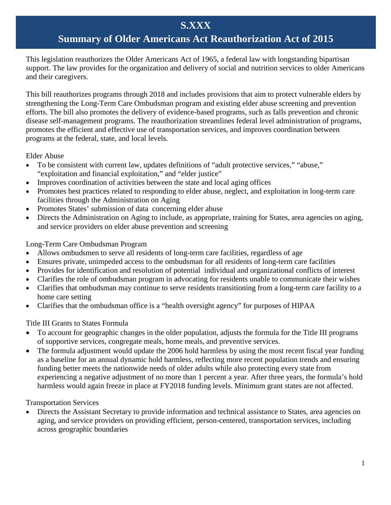## **S.XXX**

# **Summary of Older Americans Act Reauthorization Act of 2015**

This legislation reauthorizes the Older Americans Act of 1965, a federal law with longstanding bipartisan support. The law provides for the organization and delivery of social and nutrition services to older Americans and their caregivers.

This bill reauthorizes programs through 2018 and includes provisions that aim to protect vulnerable elders by strengthening the Long-Term Care Ombudsman program and existing elder abuse screening and prevention efforts. The bill also promotes the delivery of evidence-based programs, such as falls prevention and chronic disease self-management programs. The reauthorization streamlines federal level administration of programs, promotes the efficient and effective use of transportation services, and improves coordination between programs at the federal, state, and local levels.

Elder Abuse

- To be consistent with current law, updates definitions of "adult protective services," "abuse," "exploitation and financial exploitation," and "elder justice"
- Improves coordination of activities between the state and local aging offices
- Promotes best practices related to responding to elder abuse, neglect, and exploitation in long-term care facilities through the Administration on Aging
- Promotes States' submission of data concerning elder abuse
- Directs the Administration on Aging to include, as appropriate, training for States, area agencies on aging, and service providers on elder abuse prevention and screening

Long-Term Care Ombudsman Program

- Allows ombudsmen to serve all residents of long-term care facilities, regardless of age
- Ensures private, unimpeded access to the ombudsman for all residents of long-term care facilities
- Provides for identification and resolution of potential individual and organizational conflicts of interest
- Clarifies the role of ombudsman program in advocating for residents unable to communicate their wishes
- Clarifies that ombudsman may continue to serve residents transitioning from a long-term care facility to a home care setting
- Clarifies that the ombudsman office is a "health oversight agency" for purposes of HIPAA

Title III Grants to States Formula

- To account for geographic changes in the older population, adjusts the formula for the Title III programs of supportive services, congregate meals, home meals, and preventive services.
- The formula adjustment would update the 2006 hold harmless by using the most recent fiscal year funding as a baseline for an annual dynamic hold harmless, reflecting more recent population trends and ensuring funding better meets the nationwide needs of older adults while also protecting every state from experiencing a negative adjustment of no more than 1 percent a year. After three years, the formula's hold harmless would again freeze in place at FY2018 funding levels. Minimum grant states are not affected.

Transportation Services

• Directs the Assistant Secretary to provide information and technical assistance to States, area agencies on aging, and service providers on providing efficient, person-centered, transportation services, including across geographic boundaries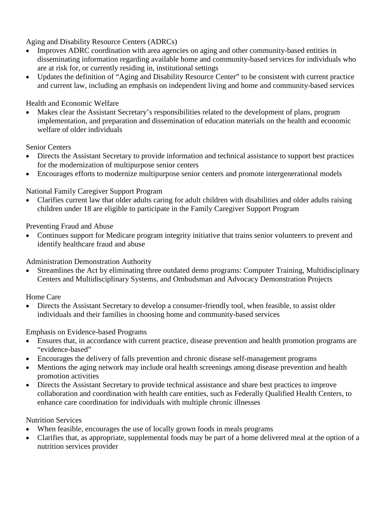Aging and Disability Resource Centers (ADRCs)

- Improves ADRC coordination with area agencies on aging and other community-based entities in disseminating information regarding available home and community-based services for individuals who are at risk for, or currently residing in, institutional settings
- Updates the definition of "Aging and Disability Resource Center" to be consistent with current practice and current law, including an emphasis on independent living and home and community-based services

### Health and Economic Welfare

• Makes clear the Assistant Secretary's responsibilities related to the development of plans, program implementation, and preparation and dissemination of education materials on the health and economic welfare of older individuals

#### Senior Centers

- Directs the Assistant Secretary to provide information and technical assistance to support best practices for the modernization of multipurpose senior centers
- Encourages efforts to modernize multipurpose senior centers and promote intergenerational models

### National Family Caregiver Support Program

• Clarifies current law that older adults caring for adult children with disabilities and older adults raising children under 18 are eligible to participate in the Family Caregiver Support Program

#### Preventing Fraud and Abuse

• Continues support for Medicare program integrity initiative that trains senior volunteers to prevent and identify healthcare fraud and abuse

Administration Demonstration Authority

• Streamlines the Act by eliminating three outdated demo programs: Computer Training, Multidisciplinary Centers and Multidisciplinary Systems, and Ombudsman and Advocacy Demonstration Projects

Home Care

• Directs the Assistant Secretary to develop a consumer-friendly tool, when feasible, to assist older individuals and their families in choosing home and community-based services

### Emphasis on Evidence-based Programs

- Ensures that, in accordance with current practice, disease prevention and health promotion programs are "evidence-based"
- Encourages the delivery of falls prevention and chronic disease self-management programs
- Mentions the aging network may include oral health screenings among disease prevention and health promotion activities
- Directs the Assistant Secretary to provide technical assistance and share best practices to improve collaboration and coordination with health care entities, such as Federally Qualified Health Centers, to enhance care coordination for individuals with multiple chronic illnesses

#### Nutrition Services

- When feasible, encourages the use of locally grown foods in meals programs
- Clarifies that, as appropriate, supplemental foods may be part of a home delivered meal at the option of a nutrition services provider